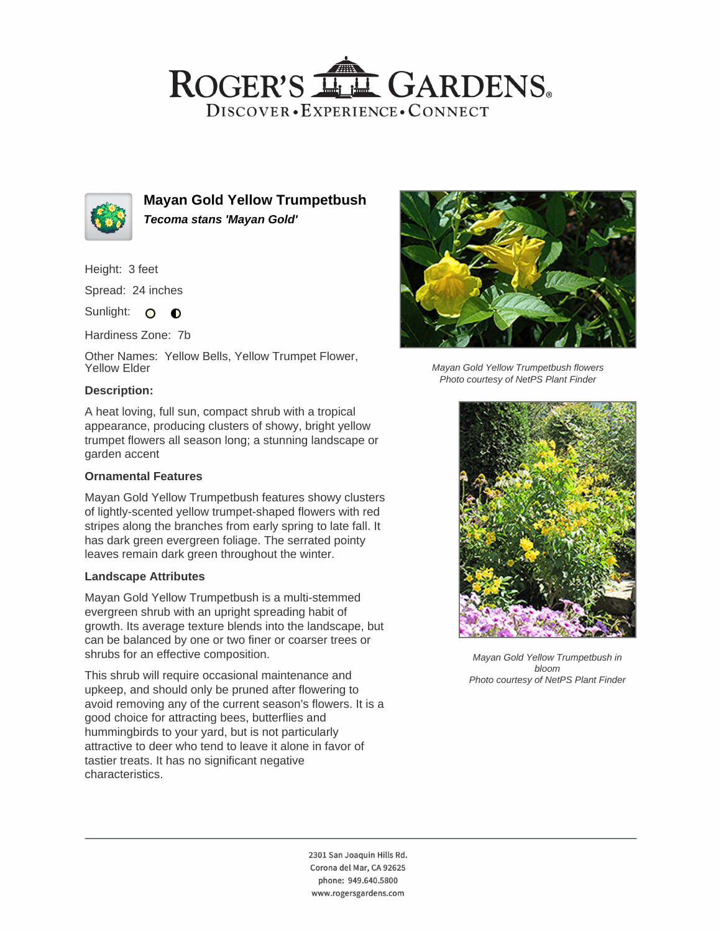## ROGER'S LL GARDENS. DISCOVER · EXPERIENCE · CONNECT



**Mayan Gold Yellow Trumpetbush Tecoma stans 'Mayan Gold'**

Height: 3 feet

Spread: 24 inches

Sunlight: O **O** 

Hardiness Zone: 7b

Other Names: Yellow Bells, Yellow Trumpet Flower, Yellow Elder

#### **Description:**

A heat loving, full sun, compact shrub with a tropical appearance, producing clusters of showy, bright yellow trumpet flowers all season long; a stunning landscape or garden accent

## **Ornamental Features**

Mayan Gold Yellow Trumpetbush features showy clusters of lightly-scented yellow trumpet-shaped flowers with red stripes along the branches from early spring to late fall. It has dark green evergreen foliage. The serrated pointy leaves remain dark green throughout the winter.

#### **Landscape Attributes**

Mayan Gold Yellow Trumpetbush is a multi-stemmed evergreen shrub with an upright spreading habit of growth. Its average texture blends into the landscape, but can be balanced by one or two finer or coarser trees or shrubs for an effective composition.

This shrub will require occasional maintenance and upkeep, and should only be pruned after flowering to avoid removing any of the current season's flowers. It is a good choice for attracting bees, butterflies and hummingbirds to your yard, but is not particularly attractive to deer who tend to leave it alone in favor of tastier treats. It has no significant negative characteristics.



Mayan Gold Yellow Trumpetbush flowers Photo courtesy of NetPS Plant Finder



Mayan Gold Yellow Trumpetbush in bloom Photo courtesy of NetPS Plant Finder

2301 San Joaquin Hills Rd. Corona del Mar, CA 92625 phone: 949.640.5800 www.rogersgardens.com